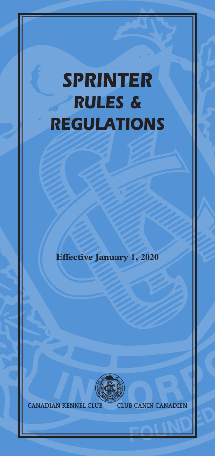# *SPRINTER RULES & REGULATIONS*

**Effective January 1, 2020**



**CANADIAN KENNEL CLUB CLUB CANIN CANADIEN**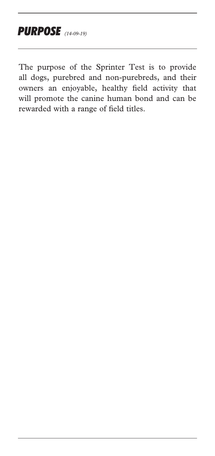The purpose of the Sprinter Test is to provide all dogs, purebred and non-purebreds, and their owners an enjoyable, healthy field activity that will promote the canine human bond and can be rewarded with a range of field titles.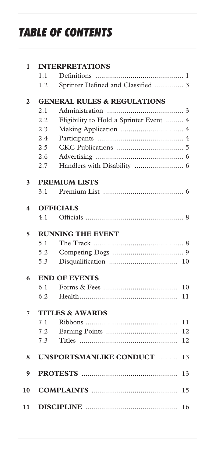# *TABLE OF CONTENTS*

| 1              |                            | <b>INTERPRETATIONS</b>                  |  |  |
|----------------|----------------------------|-----------------------------------------|--|--|
|                | 1.1                        |                                         |  |  |
|                | 1.2                        | Sprinter Defined and Classified  3      |  |  |
| $\overline{2}$ |                            | <b>GENERAL RULES &amp; REGULATIONS</b>  |  |  |
|                | 2.1                        |                                         |  |  |
|                | 2.2                        | Eligibility to Hold a Sprinter Event  4 |  |  |
|                | 2.3                        |                                         |  |  |
|                | 2.4                        |                                         |  |  |
|                | 2.5                        |                                         |  |  |
|                | 2.6                        |                                         |  |  |
|                | 2.7                        |                                         |  |  |
| 3              | <b>PREMIUM LISTS</b>       |                                         |  |  |
|                | 3.1                        |                                         |  |  |
| 4              | <b>OFFICIALS</b>           |                                         |  |  |
|                | 4.1                        |                                         |  |  |
| 5              |                            | <b>RUNNING THE EVENT</b>                |  |  |
|                | 5.1                        |                                         |  |  |
|                | 5.2                        |                                         |  |  |
|                | 5.3                        |                                         |  |  |
| 6              |                            | <b>END OF EVENTS</b>                    |  |  |
|                | 6.1                        | 10                                      |  |  |
|                | 6.2                        | 11                                      |  |  |
| 7              | <b>TITLES &amp; AWARDS</b> |                                         |  |  |
|                | 7.1                        | 11                                      |  |  |
|                | 7.2                        | 12                                      |  |  |
|                | 7.3                        | 12                                      |  |  |
| 8              |                            | <b>UNSPORTSMANLIKE CONDUCT </b><br>13   |  |  |
| 9              |                            | 13                                      |  |  |
| 10             |                            | 15                                      |  |  |
|                |                            |                                         |  |  |
| 11             |                            | 16                                      |  |  |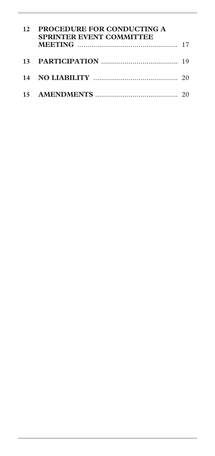| 12 PROCEDURE FOR CONDUCTING A<br><b>SPRINTER EVENT COMMITTEE</b> |  |
|------------------------------------------------------------------|--|
|                                                                  |  |
|                                                                  |  |
|                                                                  |  |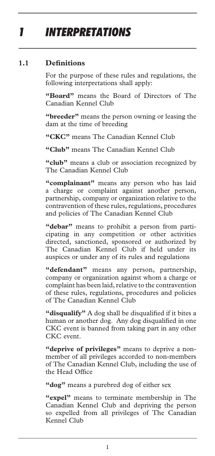## *1 INTERPRETATIONS*

#### **1.1 Definitions**

For the purpose of these rules and regulations, the following interpretations shall apply:

**"Board"** means the Board of Directors of The Canadian Kennel Club

**"breeder"** means the person owning or leasing the dam at the time of breeding

**"CKC"** means The Canadian Kennel Club

**"Club"** means The Canadian Kennel Club

**"club"** means a club or association recognized by The Canadian Kennel Club

**"complainant"** means any person who has laid a charge or complaint against another person, partnership, company or organization relative to the contravention of these rules, regulations, procedures and policies of The Canadian Kennel Club

**"debar"** means to prohibit a person from participating in any competition or other activities directed, sanctioned, sponsored or authorized by The Canadian Kennel Club if held under its auspices or under any of its rules and regulations

**"defendant"** means any person, partnership, company or organization against whom a charge or complaint has been laid, relative to the contravention of these rules, regulations, procedures and policies of The Canadian Kennel Club

**"disqualify"** A dog shall be disqualified if it bites a human or another dog. Any dog disqualified in one CKC event is banned from taking part in any other CKC event.

**"deprive of privileges"** means to deprive a nonmember of all privileges accorded to non-members of The Canadian Kennel Club, including the use of the Head Office

**"dog"** means a purebred dog of either sex

**"expel"** means to terminate membership in The Canadian Kennel Club and depriving the person so expelled from all privileges of The Canadian Kennel Club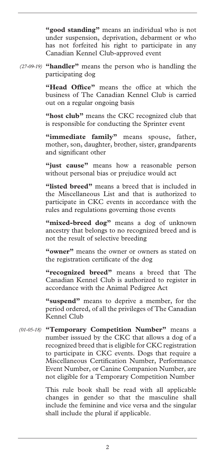**"good standing"** means an individual who is not under suspension, deprivation, debarment or who has not forfeited his right to participate in any Canadian Kennel Club-approved event

**"handler"** means the person who is handling the *(27-09-19)*  participating dog

> **"Head Office"** means the office at which the business of The Canadian Kennel Club is carried out on a regular ongoing basis

> **"host club"** means the CKC recognized club that is responsible for conducting the Sprinter event

> **"immediate family"** means spouse, father, mother, son, daughter, brother, sister, grandparents and significant other

> **"just cause"** means how a reasonable person without personal bias or prejudice would act

> **"listed breed"** means a breed that is included in the Miscellaneous List and that is authorized to participate in CKC events in accordance with the rules and regulations governing those events

> "mixed-breed dog" means a dog of unknown ancestry that belongs to no recognized breed and is not the result of selective breeding

> **"owner"** means the owner or owners as stated on the registration certificate of the dog

> **"recognized breed"** means a breed that The Canadian Kennel Club is authorized to register in accordance with the Animal Pedigree Act

> **"suspend"** means to deprive a member, for the period ordered, of all the privileges of The Canadian Kennel Club

**"Temporary Competition Number"** means a *(01-05-18)* number isssued by the CKC that allows a dog of a recognized breed that is eligible for CKC registration to participate in CKC events. Dogs that require a Miscellaneous Certification Number, Performance Event Number, or Canine Companion Number, are not eligible for a Temporary Competition Number

> This rule book shall be read with all applicable changes in gender so that the masculine shall include the feminine and vice versa and the singular shall include the plural if applicable.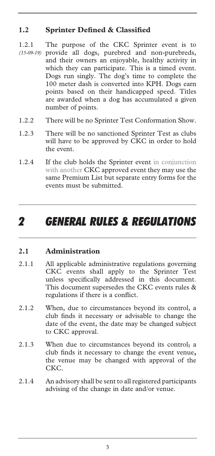#### **1.2 Sprinter Defined & Classified**

- 1.2.1 The purpose of the CKC Sprinter event is to provide all dogs, purebred and non-purebreds, *(15-09-19)*  and their owners an enjoyable, healthy activity in which they can participate. This is a timed event. Dogs run singly. The dog's time to complete the 100 meter dash is converted into KPH. Dogs earn points based on their handicapped speed. Titles are awarded when a dog has accumulated a given number of points.
- 1.2.2 There will be no Sprinter Test Conformation Show.
- 1.2.3 There will be no sanctioned Sprinter Test as clubs will have to be approved by CKC in order to hold the event.
- 1.2.4 If the club holds the Sprinter event in conjunction with another CKC approved event they may use the same Premium List but separate entry forms for the events must be submitted.

### *2 GENERAL RULES & REGULATIONS*

#### **2.1 Administration**

- 2.1.1 All applicable administrative regulations governing CKC events shall apply to the Sprinter Test unless specifically addressed in this document. This document supersedes the CKC events rules & regulations if there is a conflict.
- 2.1.2 When, due to circumstances beyond its control, a club finds it necessary or advisable to change the date of the event, the date may be changed subject to CKC approval.
- 2.1.3 When due to circumstances beyond its control<sub>5</sub> a club finds it necessary to change the event venue**,**  the venue may be changed with approval of the CKC.
- 2.1.4 An advisory shall be sent to all registered participants advising of the change in date and/or venue.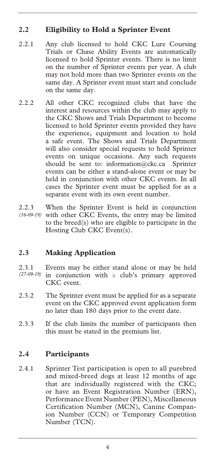#### **2.2 Eligibility to Hold a Sprinter Event**

- 2.2.1 Any club licensed to hold CKC Lure Coursing Trials or Chase Ability Events are automatically licensed to hold Sprinter events. There is no limit on the number of Sprinter events per year. A club may not hold more than two Sprinter events on the same day. A Sprinter event must start and conclude on the same day.
- 2.2.2 All other CKC recognized clubs that have the interest and resources within the club may apply to the CKC Shows and Trials Department to become licensed to hold Sprinter events provided they have the experience, equipment and location to hold a safe event. The Shows and Trials Department will also consider special requests to hold Sprinter events on unique occasions. Any such requests should be sent to: information@ckc.ca Sprinter events can be either a stand-alone event or may be held in conjunction with other CKC events. In all cases the Sprinter event must be applied for as a separate event with its own event number.
- 2.2.3 When the Sprinter Event is held in conjunction with other CKC Events, the entry may be limited to the breed(s) who are eligible to participate in the Hosting Club CKC Event(s). *(16-09-19)*

#### **2.3 Making Application**

- 2.3.1 Events may be either stand alone or may be held in conjunction with a club's primary approved CKC event. *(27-09-19)*
- 2.3.2 The Sprinter event must be applied for as a separate event on the CKC approved event application form no later than 180 days prior to the event date.
- 2.3.3 If the club limits the number of participants then this must be stated in the premium list.

#### **2.4 Participants**

2.4.1 Sprinter Test participation is open to all purebred and mixed-breed dogs at least 12 months of age that are individually registered with the CKC; or have an Event Registration Number (ERN), Performance Event Number (PEN), Miscellaneous Certification Number (MCN), Canine Companion Number (CCN) or Temporary Competition Number (TCN).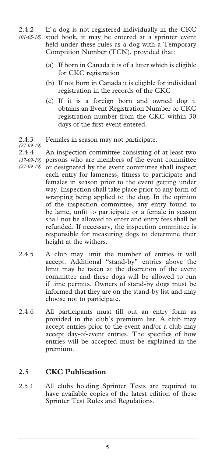- 2.4.2 If a dog is not registered individually in the CKC stud book, it may be entered at a sprinter event held under these rules as a dog with a Temporary Comptition Number (TCN), provided that: *(01-05-18)* 
	- (a) If born in Canada it is of a litter which is eligible for CKC registration
	- (b) If not born in Canada it is eligible for individual registration in the records of the CKC
	- (c) If it is a foreign born and owned dog it obtains an Event Registration Number or CKC registration number from the CKC within 30 days of the first event entered.
- 2.4.3 Females in season may not participate. *(27-09-19)*

2.4.4 An inspection committee consisting of at least two persons who are members of the event committee *(17-09-19)*  or designated by the event committee shall inspect each entry for lameness, fitness to participate and females in season prior to the event getting under way. Inspection shall take place prior to any form of wrapping being applied to the dog. In the opinion of the inspection committee, any entry found to be lame, unfit to participate or a female in season shall not be allowed to enter and entry fees shall be refunded. If necessary, the inspection committee is responsible for measuring dogs to determine their height at the withers. *(27-09-19)* 

- 2.4.5 A club may limit the number of entries it will accept. Additional "stand-by" entries above the limit may be taken at the discretion of the event committee and these dogs will be allowed to run if time permits. Owners of stand-by dogs must be informed that they are on the stand-by list and may choose not to participate.
- 2.4.6 All participants must fill out an entry form as provided in the club's premium list. A club may accept entries prior to the event and/or a club may accept day-of-event entries. The specifics of how entries will be accepted must be explained in the premium.

#### **2.5 CKC Publication**

2.5.1 All clubs holding Sprinter Tests are required to have available copies of the latest edition of these Sprinter Test Rules and Regulations.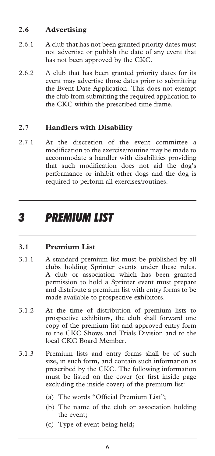#### **2.6 Advertising**

- 2.6.1 A club that has not been granted priority dates must not advertise or publish the date of any event that has not been approved by the CKC.
- 2.6.2 A club that has been granted priority dates for its event may advertise those dates prior to submitting the Event Date Application. This does not exempt the club from submitting the required application to the CKC within the prescribed time frame.

#### **2.7 Handlers with Disability**

2.7.1 At the discretion of the event committee a modification to the exercise/routine may be made to accommodate a handler with disabilities providing that such modification does not aid the dog's performance or inhibit other dogs and the dog is required to perform all exercises/routines.

### *3 PREMIUM LIST*

#### **3.1 Premium List**

- 3.1.1 A standard premium list must be published by all clubs holding Sprinter events under these rules. A club or association which has been granted permission to hold a Sprinter event must prepare and distribute a premium list with entry forms to be made available to prospective exhibitors.
- 3.1.2 At the time of distribution of premium lists to prospective exhibitors, the club shall forward one copy of the premium list and approved entry form to the CKC Shows and Trials Division and to the local CKC Board Member.
- 3.1.3 Premium lists and entry forms shall be of such size, in such form, and contain such information as prescribed by the CKC. The following information must be listed on the cover (or first inside page excluding the inside cover) of the premium list:
	- (a) The words "Official Premium List";
	- (b) The name of the club or association holding the event;
	- (c) Type of event being held;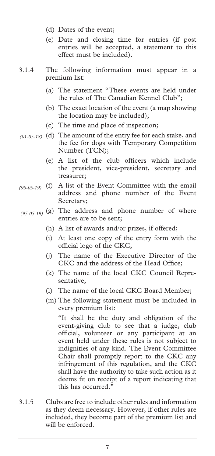- (d) Dates of the event;
- (e) Date and closing time for entries (if post entries will be accepted, a statement to this effect must be included).
- 3.1.4 The following information must appear in a premium list:
	- (a) The statement "These events are held under the rules of The Canadian Kennel Club";
	- (b) The exact location of the event (a map showing the location may be included);
	- (c) The time and place of inspection;
- (d) The amount of the entry fee for each stake, and *(01-05-18)*  the fee for dogs with Temporary Competition Number (TCN);
	- (e) A list of the club officers which include the president, vice-president, secretary and treasurer;
- (f) A list of the Event Committee with the email *(95-05-19)*  address and phone number of the Event Secretary;
- (g) The address and phone number of where *(95-05-19)* entries are to be sent;
	- (h) A list of awards and/or prizes, if offered;
	- (i) At least one copy of the entry form with the official logo of the CKC;
	- (j) The name of the Executive Director of the CKC and the address of the Head Office;
	- (k) The name of the local CKC Council Representative;
	- (l) The name of the local CKC Board Member;
	- (m) The following statement must be included in every premium list:

 "It shall be the duty and obligation of the event-giving club to see that a judge, club official, volunteer or any participant at an event held under these rules is not subject to indignities of any kind. The Event Committee Chair shall promptly report to the CKC any infringement of this regulation, and the CKC shall have the authority to take such action as it deems fit on receipt of a report indicating that this has occurred."

3.1.5 Clubs are free to include other rules and information as they deem necessary. However, if other rules are included, they become part of the premium list and will be enforced.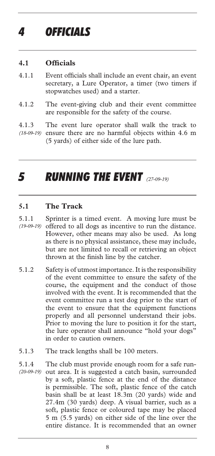#### **4.1 Officials**

- 4.1.1 Event officials shall include an event chair, an event secretary, a Lure Operator, a timer (two timers if stopwatches used) and a starter.
- 4.1.2 The event-giving club and their event committee are responsible for the safety of the course.
- 4.1.3 The event lure operator shall walk the track to (18-09-19) ensure there are no harmful objects within 4.6 m (5 yards) of either side of the lure path.

# *5 RUNNING THE EVENT (27-09-19)*

#### **5.1 The Track**

- 5.1.1 Sprinter is a timed event. A moving lure must be offered to all dogs as incentive to run the distance. However, other means may also be used. As long as there is no physical assistance, these may include, but are not limited to recall or retrieving an object thrown at the finish line by the catcher. *(19-09-19)*
- 5.1.2 Safety is of utmost importance. It is the responsibility of the event committee to ensure the safety of the course, the equipment and the conduct of those involved with the event. It is recommended that the event committee run a test dog prior to the start of the event to ensure that the equipment functions properly and all personnel understand their jobs. Prior to moving the lure to position it for the start, the lure operator shall announce "hold your dogs" in order to caution owners.
- 5.1.3 The track lengths shall be 100 meters.
- 5.1.4 The club must provide enough room for a safe runout area. It is suggested a catch basin, surrounded by a soft, plastic fence at the end of the distance is permissible. The soft, plastic fence of the catch basin shall be at least 18.3m (20 yards) wide and 27.4m (30 yards) deep. A visual barrier, such as a soft, plastic fence or coloured tape may be placed 5 m (5.5 yards) on either side of the line over the entire distance. It is recommended that an owner *(20-09-19)*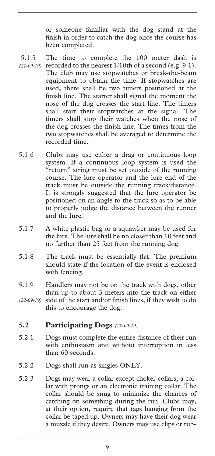or someone familiar with the dog stand at the finish in order to catch the dog once the course has been completed.

- 5.1.5 The time to complete the 100 meter dash is  $(21-09-19)$  recorded to the nearest  $1/10$ th of a second (e.g. 9.1). The club may use stopwatches or break-the-beam equipment to obtain the time. If stopwatches are used, there shall be two timers positioned at the finish line. The starter shall signal the moment the nose of the dog crosses the start line. The timers shall start their stopwatches at the signal. The timers shall stop their watches when the nose of the dog crosses the finish line. The times from the two stopwatches shall be averaged to determine the recorded time.
- 5.1.6 Clubs may use either a drag or continuous loop system. If a continuous loop system is used the "return" string must be set outside of the running course. The lure operator and the lure end of the track must be outside the running track/distance. It is strongly suggested that the lure operator be positioned on an angle to the track so as to be able to properly judge the distance between the runner and the lure.
- 5.1.7 A white plastic bag or a squawker may be used for the lure. The lure shall be no closer than 10 feet and no further than 25 feet from the running dog.
- 5.1.8 The track must be essentially flat. The premium should state if the location of the event is enclosed with fencing.
- 5.1.9 Handlers may not be on the track with dogs, other than up to about 3 meters into the track on either side of the start and/or finish lines, if they wish to do *(22-09-19)*
- this to encourage the dog.

#### **5.2 Participating Dogs** *(27-09-19)*

- 5.2.1 Dogs must complete the entire distance of their run with enthusiasm and without interruption in less than 60 seconds.
- 5.2.2 Dogs shall run as singles ONLY.
- 5.2.3 Dogs may wear a collar except choker collars, a collar with prongs or an electronic training collar. The collar should be snug to minimize the chances of catching on something during the run. Clubs may, at their option, require that tags hanging from the collar be taped up. Owners may have their dog wear a muzzle if they desire. Owners may use clips or rub-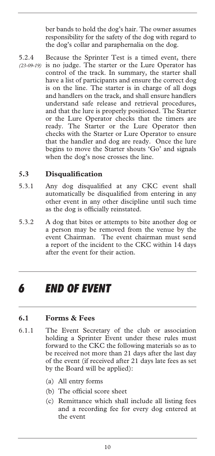ber bands to hold the dog's hair. The owner assumes responsibility for the safety of the dog with regard to the dog's collar and paraphernalia on the dog.

5.2.4 Because the Sprinter Test is a timed event, there (23-09-19) is no judge. The starter or the Lure Operator has control of the track. In summary, the starter shall have a list of participants and ensure the correct dog is on the line. The starter is in charge of all dogs and handlers on the track, and shall ensure handlers understand safe release and retrieval procedures, and that the lure is properly positioned. The Starter or the Lure Operator checks that the timers are ready. The Starter or the Lure Operator then checks with the Starter or Lure Operator to ensure that the handler and dog are ready. Once the lure begins to move the Starter shouts 'Go' and signals when the dog's nose crosses the line.

#### **5.3 Disqualification**

- 5.3.1 Any dog disqualified at any CKC event shall automatically be disqualified from entering in any other event in any other discipline until such time as the dog is officially reinstated.
- 5.3.2 A dog that bites or attempts to bite another dog or a person may be removed from the venue by the event Chairman. The event chairman must send a report of the incident to the CKC within 14 days after the event for their action.

### *6 END OF EVENT*

#### **6.1 Forms & Fees**

- 6.1.1 The Event Secretary of the club or association holding a Sprinter Event under these rules must forward to the CKC the following materials so as to be received not more than 21 days after the last day of the event (if received after 21 days late fees as set by the Board will be applied):
	- (a) All entry forms
	- (b) The official score sheet
	- (c) Remittance which shall include all listing fees and a recording fee for every dog entered at the event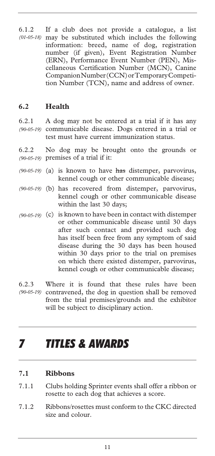6.1.2 If a club does not provide a catalogue, a list may be substituted which includes the following information: breed, name of dog, registration number (if given), Event Registration Number (ERN), Performance Event Number (PEN), Miscellaneous Certification Number (MCN), Canine Companion Number (CCN) or Temporary Competition Number (TCN), name and address of owner. *(01-05-18)* 

#### **6.2 Health**

6.2.1 A dog may not be entered at a trial if it has any (90-05-19) communicable disease. Dogs entered in a trial or test must have current immunization status.

6.2.2 No dog may be brought onto the grounds or premises of a trial if it: *(90-05-19)* 

- (90-05-19) (a) is known to have has distemper, parvovirus, kennel cough or other communicable disease;
- (b) has recovered from distemper, parvovirus, *(90-05-19)*  kennel cough or other communicable disease within the last 30 days;
- (90-05-19) (c) is known to have been in contact with distemper or other communicable disease until 30 days after such contact and provided such dog has itself been free from any symptom of said disease during the 30 days has been housed within 30 days prior to the trial on premises on which there existed distemper, parvovirus, kennel cough or other communicable disease;
- 6.2.3 Where it is found that these rules have been (90-05-19) contravened, the dog in question shall be removed from the trial premises/grounds and the exhibitor will be subject to disciplinary action.

# *7 TITLES & AWARDS*

#### **7.1 Ribbons**

- 7.1.1 Clubs holding Sprinter events shall offer a ribbon or rosette to each dog that achieves a score.
- 7.1.2 Ribbons/rosettes must conform to the CKC directed size and colour.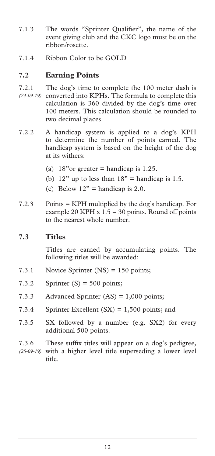- 7.1.3 The words "Sprinter Qualifier", the name of the event giving club and the CKC logo must be on the ribbon/rosette.
- 7.1.4 Ribbon Color to be GOLD

#### **7.2 Earning Points**

- 7.2.1 The dog's time to complete the 100 meter dash is (24-09-19) converted into KPHs. The formula to complete this calculation is 360 divided by the dog's time over 100 meters. This calculation should be rounded to two decimal places.
- 7.2.2 A handicap system is applied to a dog's KPH to determine the number of points earned. The handicap system is based on the height of the dog at its withers:
	- (a)  $18"$ or greater = handicap is 1.25.
	- (b)  $12$ " up to less than  $18$ " = handicap is 1.5.
	- (c) Below  $12"$  = handicap is 2.0.
- 7.2.3 Points = KPH multiplied by the dog's handicap. For example 20 KPH  $x 1.5 = 30$  points. Round off points to the nearest whole number.

#### **7.3 Titles**

Titles are earned by accumulating points. The following titles will be awarded:

- 7.3.1 Novice Sprinter (NS) = 150 points;
- 7.3.2 Sprinter  $(S) = 500$  points;
- 7.3.3 Advanced Sprinter (AS) = 1,000 points;
- 7.3.4 Sprinter Excellent (SX) = 1,500 points; and
- 7.3.5 SX followed by a number (e.g. SX2) for every additional 500 points.
- 7.3.6 These suffix titles will appear on a dog's pedigree, (25-09-19) with a higher level title superseding a lower level title.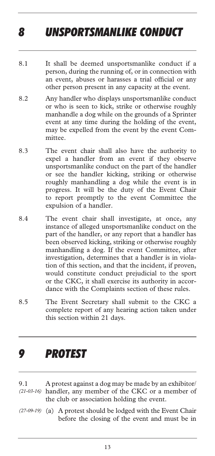# *8 UNSPORTSMANLIKE CONDUCT*

- 8.1 It shall be deemed unsportsmanlike conduct if a person, during the running of, or in connection with an event, abuses or harasses a trial official or any other person present in any capacity at the event.
- 8.2 Any handler who displays unsportsmanlike conduct or who is seen to kick, strike or otherwise roughly manhandle a dog while on the grounds of a Sprinter event at any time during the holding of the event, may be expelled from the event by the event Committee.
- 8.3 The event chair shall also have the authority to expel a handler from an event if they observe unsportsmanlike conduct on the part of the handler or see the handler kicking, striking or otherwise roughly manhandling a dog while the event is in progress. It will be the duty of the Event Chair to report promptly to the event Committee the expulsion of a handler.
- 8.4 The event chair shall investigate, at once, any instance of alleged unsportsmanlike conduct on the part of the handler, or any report that a handler has been observed kicking, striking or otherwise roughly manhandling a dog. If the event Committee, after investigation, determines that a handler is in violation of this section, and that the incident, if proven, would constitute conduct prejudicial to the sport or the CKC, it shall exercise its authority in accordance with the Complaints section of these rules.
- 8.5 The Event Secretary shall submit to the CKC a complete report of any hearing action taken under this section within 21 days.

### *9 PROTEST*

- 9.1 A protest against a dog may be made by an exhibitor/ handler, any member of the CKC or a member of *(21-03-16)*  the club or association holding the event.
- (a) A protest should be lodged with the Event Chair *(27-09-19)* before the closing of the event and must be in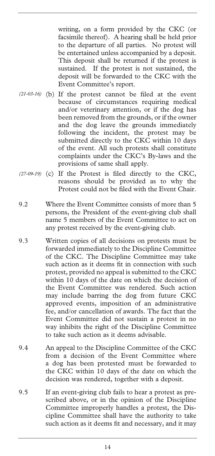writing, on a form provided by the CKC (or facsimile thereof). A hearing shall be held prior to the departure of all parties. No protest will be entertained unless accompanied by a deposit. This deposit shall be returned if the protest is sustained. If the protest is not sustained, the deposit will be forwarded to the CKC with the Event Committee's report.

- (21-03-16) (b) If the protest cannot be filed at the event because of circumstances requiring medical and/or veterinary attention, or if the dog has been removed from the grounds, or if the owner and the dog leave the grounds immediately following the incident, the protest may be submitted directly to the CKC within 10 days of the event. All such protests shall constitute complaints under the CKC's By-laws and the provisions of same shall apply.
- (27-09-19) (c) If the Protest is filed directly to the CKC, reasons should be provided as to why the Protest could not be filed with the Event Chair.
- 9.2 Where the Event Committee consists of more than 5 persons, the President of the event-giving club shall name 5 members of the Event Committee to act on any protest received by the event-giving club.
- 9.3 Written copies of all decisions on protests must be forwarded immediately to the Discipline Committee of the CKC. The Discipline Committee may take such action as it deems fit in connection with such protest, provided no appeal is submitted to the CKC within 10 days of the date on which the decision of the Event Committee was rendered. Such action may include barring the dog from future CKC approved events, imposition of an administrative fee, and/or cancellation of awards. The fact that the Event Committee did not sustain a protest in no way inhibits the right of the Discipline Committee to take such action as it deems advisable.
- 9.4 An appeal to the Discipline Committee of the CKC from a decision of the Event Committee where a dog has been protested must be forwarded to the CKC within 10 days of the date on which the decision was rendered, together with a deposit.
- 9.5 If an event-giving club fails to hear a protest as prescribed above, or in the opinion of the Discipline Committee improperly handles a protest, the Discipline Committee shall have the authority to take such action as it deems fit and necessary, and it may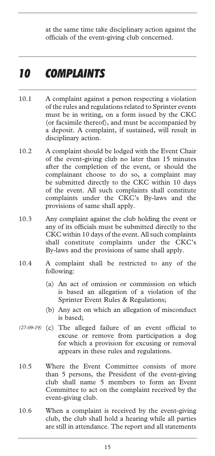at the same time take disciplinary action against the officials of the event-giving club concerned.

### *10 COMPLAINTS*

- 10.1 A complaint against a person respecting a violation of the rules and regulations related to Sprinter events must be in writing, on a form issued by the CKC (or facsimile thereof), and must be accompanied by a deposit. A complaint, if sustained, will result in disciplinary action.
- 10.2 A complaint should be lodged with the Event Chair of the event-giving club no later than 15 minutes after the completion of the event, or should the complainant choose to do so, a complaint may be submitted directly to the CKC within 10 days of the event. All such complaints shall constitute complaints under the CKC's By-laws and the provisions of same shall apply.
- 10.3 Any complaint against the club holding the event or any of its officials must be submitted directly to the CKC within 10 days of the event. All such complaints shall constitute complaints under the CKC's By-laws and the provisions of same shall apply.
- 10.4 A complaint shall be restricted to any of the following:
	- (a) An act of omission or commission on which is based an allegation of a violation of the Sprinter Event Rules & Regulations;
	- (b) Any act on which an allegation of misconduct is based;
- (27-09-19) (c) The alleged failure of an event official to excuse or remove from participation a dog for which a provision for excusing or removal appears in these rules and regulations.
- 10.5 Where the Event Committee consists of more than 5 persons, the President of the event-giving club shall name 5 members to form an Event Committee to act on the complaint received by the event-giving club.
- 10.6 When a complaint is received by the event-giving club, the club shall hold a hearing while all parties are still in attendance. The report and all statements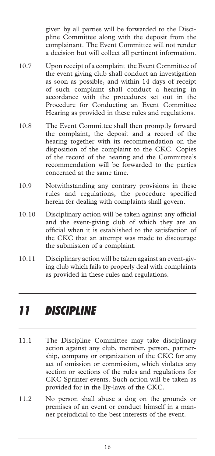given by all parties will be forwarded to the Discipline Committee along with the deposit from the complainant. The Event Committee will not render a decision but will collect all pertinent information.

- 10.7 Upon receipt of a complaint the Event Committee of the event giving club shall conduct an investigation as soon as possible, and within 14 days of receipt of such complaint shall conduct a hearing in accordance with the procedures set out in the Procedure for Conducting an Event Committee Hearing as provided in these rules and regulations.
- 10.8 The Event Committee shall then promptly forward the complaint, the deposit and a record of the hearing together with its recommendation on the disposition of the complaint to the CKC. Copies of the record of the hearing and the Committee's recommendation will be forwarded to the parties concerned at the same time.
- 10.9 Notwithstanding any contrary provisions in these rules and regulations, the procedure specified herein for dealing with complaints shall govern.
- 10.10 Disciplinary action will be taken against any official and the event-giving club of which they are an official when it is established to the satisfaction of the CKC that an attempt was made to discourage the submission of a complaint.
- 10.11 Disciplinary action will be taken against an event-giving club which fails to properly deal with complaints as provided in these rules and regulations.

## *11 DISCIPLINE*

- 11.1 The Discipline Committee may take disciplinary action against any club, member, person, partnership, company or organization of the CKC for any act of omission or commission, which violates any section or sections of the rules and regulations for CKC Sprinter events. Such action will be taken as provided for in the By-laws of the CKC.
- 11.2 No person shall abuse a dog on the grounds or premises of an event or conduct himself in a manner prejudicial to the best interests of the event.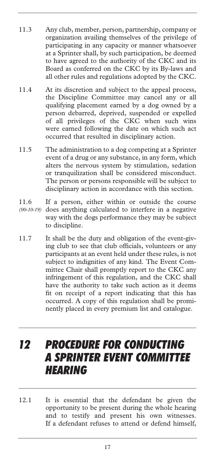- 11.3 Any club, member, person, partnership, company or organization availing themselves of the privilege of participating in any capacity or manner whatsoever at a Sprinter shall, by such participation, be deemed to have agreed to the authority of the CKC and its Board as conferred on the CKC by its By-laws and all other rules and regulations adopted by the CKC.
- 11.4 At its discretion and subject to the appeal process, the Discipline Committee may cancel any or all qualifying placement earned by a dog owned by a person debarred, deprived, suspended or expelled of all privileges of the CKC when such wins were earned following the date on which such act occurred that resulted in disciplinary action.
- 11.5 The administration to a dog competing at a Sprinter event of a drug or any substance, in any form, which alters the nervous system by stimulation, sedation or tranquilization shall be considered misconduct. The person or persons responsible will be subject to disciplinary action in accordance with this section.
- 11.6 If a person, either within or outside the course does anything calculated to interfere in a negative *(00-10-19)* way with the dogs performance they may be subject to discipline.
- 11.7 It shall be the duty and obligation of the event-giving club to see that club officials, volunteers or any participants at an event held under these rules, is not subject to indignities of any kind. The Event Committee Chair shall promptly report to the CKC any infringement of this regulation, and the CKC shall have the authority to take such action as it deems fit on receipt of a report indicating that this has occurred. A copy of this regulation shall be prominently placed in every premium list and catalogue.

### *12 PROCEDURE FOR CONDUCTING A SPRINTER EVENT COMMITTEE HEARING*

12.1 It is essential that the defendant be given the opportunity to be present during the whole hearing and to testify and present his own witnesses. If a defendant refuses to attend or defend himself,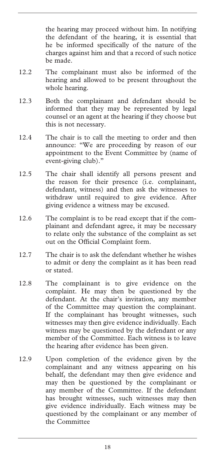the hearing may proceed without him. In notifying the defendant of the hearing, it is essential that he be informed specifically of the nature of the charges against him and that a record of such notice be made.

- 12.2 The complainant must also be informed of the hearing and allowed to be present throughout the whole hearing.
- 12.3 Both the complainant and defendant should be informed that they may be represented by legal counsel or an agent at the hearing if they choose but this is not necessary.
- 12.4 The chair is to call the meeting to order and then announce: "We are proceeding by reason of our appointment to the Event Committee by (name of event-giving club)."
- 12.5 The chair shall identify all persons present and the reason for their presence (i.e. complainant, defendant, witness) and then ask the witnesses to withdraw until required to give evidence. After giving evidence a witness may be excused.
- 12.6 The complaint is to be read except that if the complainant and defendant agree, it may be necessary to relate only the substance of the complaint as set out on the Official Complaint form.
- 12.7 The chair is to ask the defendant whether he wishes to admit or deny the complaint as it has been read or stated.
- 12.8 The complainant is to give evidence on the complaint. He may then be questioned by the defendant. At the chair's invitation, any member of the Committee may question the complainant. If the complainant has brought witnesses, such witnesses may then give evidence individually. Each witness may be questioned by the defendant or any member of the Committee. Each witness is to leave the hearing after evidence has been given.
- 12.9 Upon completion of the evidence given by the complainant and any witness appearing on his behalf, the defendant may then give evidence and may then be questioned by the complainant or any member of the Committee. If the defendant has brought witnesses, such witnesses may then give evidence individually. Each witness may be questioned by the complainant or any member of the Committee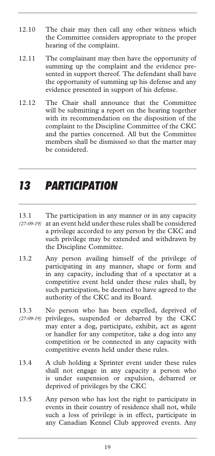- 12.10 The chair may then call any other witness which the Committee considers appropriate to the proper hearing of the complaint.
- 12.11 The complainant may then have the opportunity of summing up the complaint and the evidence presented in support thereof. The defendant shall have the opportunity of summing up his defense and any evidence presented in support of his defense.
- 12.12 The Chair shall announce that the Committee will be submitting a report on the hearing together with its recommendation on the disposition of the complaint to the Discipline Committee of the CKC and the parties concerned. All but the Committee members shall be dismissed so that the matter may be considered.

# *13 PARTICIPATION*

- 13.1 The participation in any manner or in any capacity (27-09-19) at an event held under these rules shall be considered a privilege accorded to any person by the CKC and such privilege may be extended and withdrawn by the Discipline Committee.
- 13.2 Any person availing himself of the privilege of participating in any manner, shape or form and in any capacity, including that of a spectator at a competitive event held under these rules shall, by such participation, be deemed to have agreed to the authority of the CKC and its Board.
- 13.3 No person who has been expelled, deprived of privileges, suspended or debarred by the CKC *(27-09-19)* may enter a dog, participate, exhibit, act as agent or handler for any competitor, take a dog into any competition or be connected in any capacity with competitive events held under these rules.
- 13.4 A club holding a Sprinter event under these rules shall not engage in any capacity a person who is under suspension or expulsion, debarred or deprived of privileges by the CKC
- 13.5 Any person who has lost the right to participate in events in their country of residence shall not, while such a loss of privilege is in effect, participate in any Canadian Kennel Club approved events. Any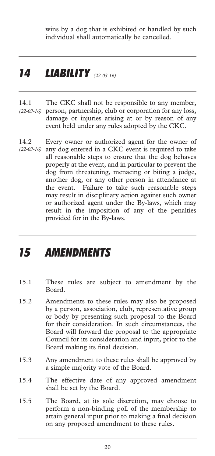wins by a dog that is exhibited or handled by such individual shall automatically be cancelled.

### *14 LIABILITY (22-03-16)*

- 14.1 The CKC shall not be responsible to any member, person, partnership, club or corporation for any loss, *(22-03-16)*  damage or injuries arising at or by reason of any event held under any rules adopted by the CKC.
- 14.2 Every owner or authorized agent for the owner of (22-03-16) any dog entered in a CKC event is required to take all reasonable steps to ensure that the dog behaves properly at the event, and in particular to prevent the dog from threatening, menacing or biting a judge, another dog, or any other person in attendance at the event. Failure to take such reasonable steps may result in disciplinary action against such owner or authorized agent under the By-laws, which may result in the imposition of any of the penalties provided for in the By-laws.

# *15 AMENDMENTS*

- 15.1 These rules are subject to amendment by the Board.
- 15.2 Amendments to these rules may also be proposed by a person, association, club, representative group or body by presenting such proposal to the Board for their consideration. In such circumstances, the Board will forward the proposal to the appropriate Council for its consideration and input, prior to the Board making its final decision.
- 15.3 Any amendment to these rules shall be approved by a simple majority vote of the Board.
- 15.4 The effective date of any approved amendment shall be set by the Board.
- 15.5 The Board, at its sole discretion, may choose to perform a non-binding poll of the membership to attain general input prior to making a final decision on any proposed amendment to these rules.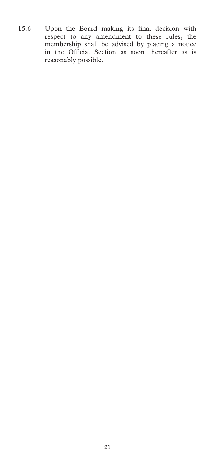15.6 Upon the Board making its final decision with respect to any amendment to these rules, the membership shall be advised by placing a notice in the Official Section as soon thereafter as is reasonably possible.